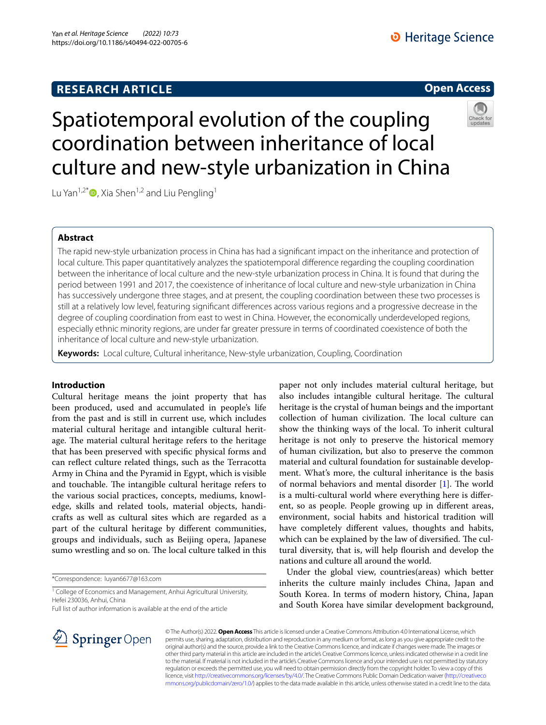# **RESEARCH ARTICLE**

# **Open Access**



# Spatiotemporal evolution of the coupling coordination between inheritance of local culture and new-style urbanization in China

Lu Yan<sup>1,2[\\*](http://orcid.org/0000-0003-3758-0347)</sup> $\bullet$ , Xia Shen<sup>1,2</sup> and Liu Pengling<sup>1</sup>

# **Abstract**

The rapid new-style urbanization process in China has had a signifcant impact on the inheritance and protection of local culture. This paper quantitatively analyzes the spatiotemporal diference regarding the coupling coordination between the inheritance of local culture and the new-style urbanization process in China. It is found that during the period between 1991 and 2017, the coexistence of inheritance of local culture and new-style urbanization in China has successively undergone three stages, and at present, the coupling coordination between these two processes is still at a relatively low level, featuring signifcant diferences across various regions and a progressive decrease in the degree of coupling coordination from east to west in China. However, the economically underdeveloped regions, especially ethnic minority regions, are under far greater pressure in terms of coordinated coexistence of both the inheritance of local culture and new-style urbanization.

**Keywords:** Local culture, Cultural inheritance, New-style urbanization, Coupling, Coordination

# **Introduction**

Cultural heritage means the joint property that has been produced, used and accumulated in people's life from the past and is still in current use, which includes material cultural heritage and intangible cultural heritage. The material cultural heritage refers to the heritage that has been preserved with specifc physical forms and can refect culture related things, such as the Terracotta Army in China and the Pyramid in Egypt, which is visible and touchable. The intangible cultural heritage refers to the various social practices, concepts, mediums, knowledge, skills and related tools, material objects, handicrafts as well as cultural sites which are regarded as a part of the cultural heritage by diferent communities, groups and individuals, such as Beijing opera, Japanese sumo wrestling and so on. The local culture talked in this

\*Correspondence: luyan6677@163.com

<sup>1</sup> College of Economics and Management, Anhui Agricultural University, Hefei 230036, Anhui, China

Full list of author information is available at the end of the article

paper not only includes material cultural heritage, but also includes intangible cultural heritage. The cultural heritage is the crystal of human beings and the important collection of human civilization. The local culture can show the thinking ways of the local. To inherit cultural heritage is not only to preserve the historical memory of human civilization, but also to preserve the common material and cultural foundation for sustainable development. What's more, the cultural inheritance is the basis of normal behaviors and mental disorder  $[1]$  $[1]$ . The world is a multi-cultural world where everything here is diferent, so as people. People growing up in diferent areas, environment, social habits and historical tradition will have completely diferent values, thoughts and habits, which can be explained by the law of diversified. The cultural diversity, that is, will help fourish and develop the nations and culture all around the world.

Under the global view, countries(areas) which better inherits the culture mainly includes China, Japan and South Korea. In terms of modern history, China, Japan and South Korea have similar development background,



© The Author(s) 2022. **Open Access** This article is licensed under a Creative Commons Attribution 4.0 International License, which permits use, sharing, adaptation, distribution and reproduction in any medium or format, as long as you give appropriate credit to the original author(s) and the source, provide a link to the Creative Commons licence, and indicate if changes were made. The images or other third party material in this article are included in the article's Creative Commons licence, unless indicated otherwise in a credit line to the material. If material is not included in the article's Creative Commons licence and your intended use is not permitted by statutory regulation or exceeds the permitted use, you will need to obtain permission directly from the copyright holder. To view a copy of this licence, visit [http://creativecommons.org/licenses/by/4.0/.](http://creativecommons.org/licenses/by/4.0/) The Creative Commons Public Domain Dedication waiver ([http://creativeco](http://creativecommons.org/publicdomain/zero/1.0/) [mmons.org/publicdomain/zero/1.0/](http://creativecommons.org/publicdomain/zero/1.0/)) applies to the data made available in this article, unless otherwise stated in a credit line to the data.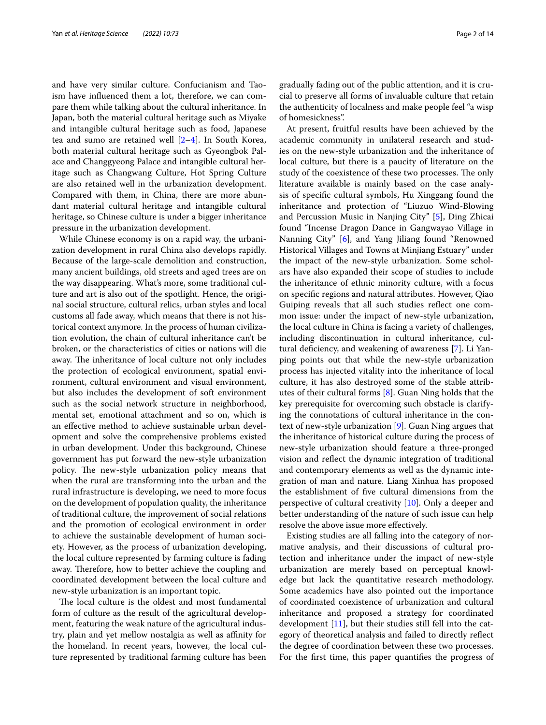and have very similar culture. Confucianism and Taoism have infuenced them a lot, therefore, we can compare them while talking about the cultural inheritance. In Japan, both the material cultural heritage such as Miyake and intangible cultural heritage such as food, Japanese tea and sumo are retained well [\[2](#page-13-1)[–4](#page-13-2)]. In South Korea, both material cultural heritage such as Gyeongbok Palace and Changgyeong Palace and intangible cultural heritage such as Changwang Culture, Hot Spring Culture are also retained well in the urbanization development. Compared with them, in China, there are more abundant material cultural heritage and intangible cultural heritage, so Chinese culture is under a bigger inheritance pressure in the urbanization development.

While Chinese economy is on a rapid way, the urbanization development in rural China also develops rapidly. Because of the large-scale demolition and construction, many ancient buildings, old streets and aged trees are on the way disappearing. What's more, some traditional culture and art is also out of the spotlight. Hence, the original social structure, cultural relics, urban styles and local customs all fade away, which means that there is not historical context anymore. In the process of human civilization evolution, the chain of cultural inheritance can't be broken, or the characteristics of cities or nations will die away. The inheritance of local culture not only includes the protection of ecological environment, spatial environment, cultural environment and visual environment, but also includes the development of soft environment such as the social network structure in neighborhood, mental set, emotional attachment and so on, which is an efective method to achieve sustainable urban development and solve the comprehensive problems existed in urban development. Under this background, Chinese government has put forward the new-style urbanization policy. The new-style urbanization policy means that when the rural are transforming into the urban and the rural infrastructure is developing, we need to more focus on the development of population quality, the inheritance of traditional culture, the improvement of social relations and the promotion of ecological environment in order to achieve the sustainable development of human society. However, as the process of urbanization developing, the local culture represented by farming culture is fading away. Therefore, how to better achieve the coupling and coordinated development between the local culture and new-style urbanization is an important topic.

The local culture is the oldest and most fundamental form of culture as the result of the agricultural development, featuring the weak nature of the agricultural industry, plain and yet mellow nostalgia as well as afnity for the homeland. In recent years, however, the local culture represented by traditional farming culture has been gradually fading out of the public attention, and it is crucial to preserve all forms of invaluable culture that retain the authenticity of localness and make people feel "a wisp of homesickness".

At present, fruitful results have been achieved by the academic community in unilateral research and studies on the new-style urbanization and the inheritance of local culture, but there is a paucity of literature on the study of the coexistence of these two processes. The only literature available is mainly based on the case analysis of specifc cultural symbols, Hu Xinggang found the inheritance and protection of "Liuzuo Wind-Blowing and Percussion Music in Nanjing City" [\[5](#page-13-3)], Ding Zhicai found "Incense Dragon Dance in Gangwayao Village in Nanning City" [[6\]](#page-13-4), and Yang Jiliang found "Renowned Historical Villages and Towns at Minjiang Estuary" under the impact of the new-style urbanization. Some scholars have also expanded their scope of studies to include the inheritance of ethnic minority culture, with a focus on specifc regions and natural attributes. However, Qiao Guiping reveals that all such studies refect one common issue: under the impact of new-style urbanization, the local culture in China is facing a variety of challenges, including discontinuation in cultural inheritance, cul-tural deficiency, and weakening of awareness [\[7](#page-13-5)]. Li Yanping points out that while the new-style urbanization process has injected vitality into the inheritance of local culture, it has also destroyed some of the stable attributes of their cultural forms  $[8]$  $[8]$ . Guan Ning holds that the key prerequisite for overcoming such obstacle is clarifying the connotations of cultural inheritance in the context of new-style urbanization [[9\]](#page-13-7). Guan Ning argues that the inheritance of historical culture during the process of new-style urbanization should feature a three-pronged vision and refect the dynamic integration of traditional and contemporary elements as well as the dynamic integration of man and nature. Liang Xinhua has proposed the establishment of fve cultural dimensions from the perspective of cultural creativity [[10\]](#page-13-8). Only a deeper and better understanding of the nature of such issue can help resolve the above issue more efectively.

Existing studies are all falling into the category of normative analysis, and their discussions of cultural protection and inheritance under the impact of new-style urbanization are merely based on perceptual knowledge but lack the quantitative research methodology. Some academics have also pointed out the importance of coordinated coexistence of urbanization and cultural inheritance and proposed a strategy for coordinated development [\[11](#page-13-9)], but their studies still fell into the category of theoretical analysis and failed to directly refect the degree of coordination between these two processes. For the frst time, this paper quantifes the progress of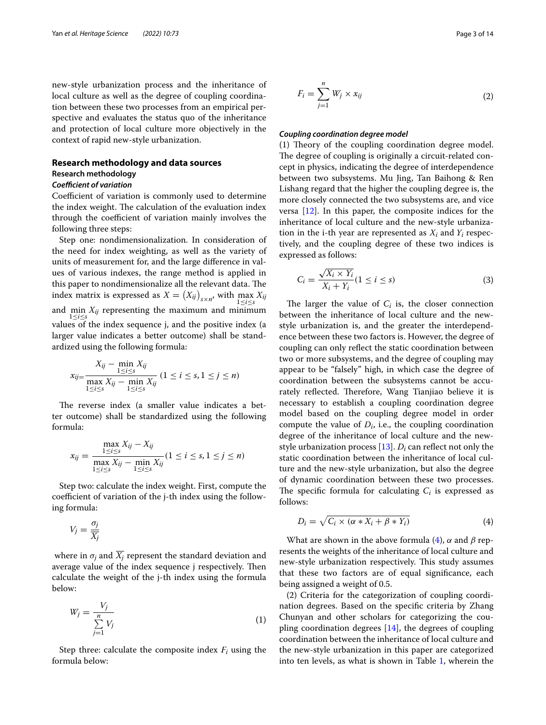new-style urbanization process and the inheritance of local culture as well as the degree of coupling coordination between these two processes from an empirical perspective and evaluates the status quo of the inheritance and protection of local culture more objectively in the context of rapid new-style urbanization.

## **Research methodology and data sources**

# **Research methodology**

## **Coefficient of variation**

Coefficient of variation is commonly used to determine the index weight. The calculation of the evaluation index through the coefficient of variation mainly involves the following three steps:

Step one: nondimensionalization. In consideration of the need for index weighting, as well as the variety of units of measurement for, and the large diference in values of various indexes, the range method is applied in this paper to nondimensionalize all the relevant data. The index matrix is expressed as  $X = (X_{ij})_{s \times n'}$ , with  $\max_{1 \le i \le s} X_{ij}$ and min  $X_{ij}$  representing the maximum and minimum<br>  $1 \le i \le s$ <br>  $1 \le i \le s$ values of the index sequence j, and the positive index (a larger value indicates a better outcome) shall be standardized using the following formula:

$$
x_{ij} = \frac{X_{ij} - \min_{1 \le i \le s} X_{ij}}{\max_{1 \le i \le s} X_{ij} - \min_{1 \le i \le s} X_{ij}} (1 \le i \le s, 1 \le j \le n)
$$

The reverse index (a smaller value indicates a better outcome) shall be standardized using the following formula:

$$
x_{ij} = \frac{\max_{1 \le i \le s} X_{ij} - X_{ij}}{\max_{1 \le i \le s} X_{ij} - \min_{1 \le i \le s} X_{ij}} (1 \le i \le s, 1 \le j \le n)
$$

Step two: calculate the index weight. First, compute the coefficient of variation of the j-th index using the following formula:

$$
V_j = \frac{\sigma_j}{\overline{X_j}}
$$

where in  $\sigma_i$  and  $\overline{X_i}$  represent the standard deviation and average value of the index sequence j respectively. Then calculate the weight of the j-th index using the formula below:

$$
W_j = \frac{V_j}{\sum_{j=1}^n V_j} \tag{1}
$$

Step three: calculate the composite index  $F_i$  using the formula below:

$$
F_i = \sum_{j=1}^{n} W_j \times x_{ij}
$$
 (2)

#### *Coupling coordination degree model*

(1) Theory of the coupling coordination degree model. The degree of coupling is originally a circuit-related concept in physics, indicating the degree of interdependence between two subsystems. Mu Jing, Tan Baihong & Ren Lishang regard that the higher the coupling degree is, the more closely connected the two subsystems are, and vice versa [\[12\]](#page-13-10). In this paper, the composite indices for the inheritance of local culture and the new-style urbanization in the i-th year are represented as  $X_i$  and  $Y_i$  respectively, and the coupling degree of these two indices is expressed as follows:

$$
C_i = \frac{\sqrt{X_i \times Y_i}}{X_i + Y_i} (1 \le i \le s)
$$
\n(3)

The larger the value of  $C_i$  is, the closer connection between the inheritance of local culture and the newstyle urbanization is, and the greater the interdependence between these two factors is. However, the degree of coupling can only refect the static coordination between two or more subsystems, and the degree of coupling may appear to be "falsely" high, in which case the degree of coordination between the subsystems cannot be accurately reflected. Therefore, Wang Tianjiao believe it is necessary to establish a coupling coordination degree model based on the coupling degree model in order compute the value of  $D_i$ , i.e., the coupling coordination degree of the inheritance of local culture and the new-style urbanization process [\[13\]](#page-13-11).  $D_i$  can reflect not only the static coordination between the inheritance of local culture and the new-style urbanization, but also the degree of dynamic coordination between these two processes. The specific formula for calculating  $C_i$  is expressed as follows:

<span id="page-2-0"></span>
$$
D_i = \sqrt{C_i \times (\alpha \ast X_i + \beta \ast Y_i)}
$$
(4)

What are shown in the above formula ([4\)](#page-2-0),  $\alpha$  and  $\beta$  represents the weights of the inheritance of local culture and new-style urbanization respectively. This study assumes that these two factors are of equal signifcance, each being assigned a weight of 0.5.

(2) Criteria for the categorization of coupling coordination degrees. Based on the specifc criteria by Zhang Chunyan and other scholars for categorizing the coupling coordination degrees  $[14]$  $[14]$ , the degrees of coupling coordination between the inheritance of local culture and the new-style urbanization in this paper are categorized into ten levels, as what is shown in Table [1](#page-3-0), wherein the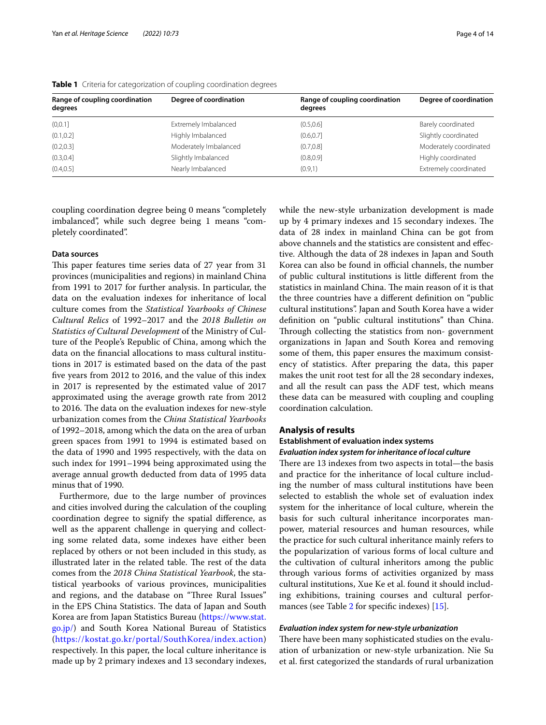| Range of coupling coordination<br>degrees | Degree of coordination | Range of coupling coordination<br>degrees | Degree of coordination |
|-------------------------------------------|------------------------|-------------------------------------------|------------------------|
| (0, 0.1]                                  | Extremely Imbalanced   | (0.5, 0.6]                                | Barely coordinated     |
| (0.1, 0.2]                                | Highly Imbalanced      | (0.6, 0.7]                                | Slightly coordinated   |
| (0.2, 0.3]                                | Moderately Imbalanced  | (0.7, 0.8]                                | Moderately coordinated |
| (0.3, 0.4]                                | Slightly Imbalanced    | (0.8, 0.9]                                | Highly coordinated     |
| (0.4, 0.5]                                | Nearly Imbalanced      | (0.9,1)                                   | Extremely coordinated  |

<span id="page-3-0"></span>**Table 1** Criteria for categorization of coupling coordination degrees

coupling coordination degree being 0 means "completely imbalanced", while such degree being 1 means "completely coordinated".

# **Data sources**

This paper features time series data of 27 year from 31 provinces (municipalities and regions) in mainland China from 1991 to 2017 for further analysis. In particular, the data on the evaluation indexes for inheritance of local culture comes from the *Statistical Yearbooks of Chinese Cultural Relics* of 1992–2017 and the *2018 Bulletin on Statistics of Cultural Development* of the Ministry of Culture of the People's Republic of China, among which the data on the fnancial allocations to mass cultural institutions in 2017 is estimated based on the data of the past fve years from 2012 to 2016, and the value of this index in 2017 is represented by the estimated value of 2017 approximated using the average growth rate from 2012 to 2016. The data on the evaluation indexes for new-style urbanization comes from the *China Statistical Yearbooks* of 1992–2018, among which the data on the area of urban green spaces from 1991 to 1994 is estimated based on the data of 1990 and 1995 respectively, with the data on such index for 1991–1994 being approximated using the average annual growth deducted from data of 1995 data minus that of 1990.

Furthermore, due to the large number of provinces and cities involved during the calculation of the coupling coordination degree to signify the spatial diference, as well as the apparent challenge in querying and collecting some related data, some indexes have either been replaced by others or not been included in this study, as illustrated later in the related table. The rest of the data comes from the *2018 China Statistical Yearbook*, the statistical yearbooks of various provinces, municipalities and regions, and the database on "Three Rural Issues" in the EPS China Statistics. The data of Japan and South Korea are from Japan Statistics Bureau [\(https://www.stat.](https://www.stat.go.jp/) [go.jp/](https://www.stat.go.jp/)) and South Korea National Bureau of Statistics (<https://kostat.go.kr/portal/SouthKorea/index.action>) respectively. In this paper, the local culture inheritance is made up by 2 primary indexes and 13 secondary indexes, while the new-style urbanization development is made up by 4 primary indexes and 15 secondary indexes. The data of 28 index in mainland China can be got from above channels and the statistics are consistent and efective. Although the data of 28 indexes in Japan and South Korea can also be found in official channels, the number of public cultural institutions is little diferent from the statistics in mainland China. The main reason of it is that the three countries have a diferent defnition on "public cultural institutions". Japan and South Korea have a wider defnition on "public cultural institutions" than China. Through collecting the statistics from non-government organizations in Japan and South Korea and removing some of them, this paper ensures the maximum consistency of statistics. After preparing the data, this paper makes the unit root test for all the 28 secondary indexes, and all the result can pass the ADF test, which means these data can be measured with coupling and coupling coordination calculation.

## **Analysis of results**

## **Establishment of evaluation index systems**

## *Evaluation index system for inheritance of local culture*

There are 13 indexes from two aspects in total—the basis and practice for the inheritance of local culture including the number of mass cultural institutions have been selected to establish the whole set of evaluation index system for the inheritance of local culture, wherein the basis for such cultural inheritance incorporates manpower, material resources and human resources, while the practice for such cultural inheritance mainly refers to the popularization of various forms of local culture and the cultivation of cultural inheritors among the public through various forms of activities organized by mass cultural institutions, Xue Ke et al. found it should including exhibitions, training courses and cultural performances (see Table [2](#page-4-0) for specifc indexes) [\[15](#page-13-13)].

#### *Evaluation index system for new‑style urbanization*

There have been many sophisticated studies on the evaluation of urbanization or new-style urbanization. Nie Su et al. frst categorized the standards of rural urbanization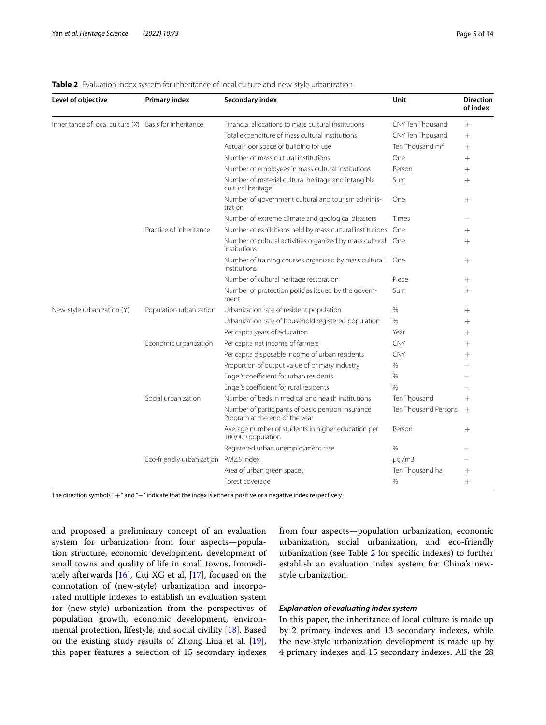| Level of objective                                     | <b>Primary index</b>                  | Secondary index                                                                     | Unit                    | <b>Direction</b><br>of index |
|--------------------------------------------------------|---------------------------------------|-------------------------------------------------------------------------------------|-------------------------|------------------------------|
| Inheritance of local culture (X) Basis for inheritance |                                       | Financial allocations to mass cultural institutions                                 | CNY Ten Thousand        | $+$                          |
|                                                        |                                       | Total expenditure of mass cultural institutions                                     | <b>CNY Ten Thousand</b> | $^{+}$                       |
|                                                        |                                       | Actual floor space of building for use                                              | Ten Thousand $m2$       | $+$                          |
|                                                        |                                       | Number of mass cultural institutions                                                | One                     | $^{+}$                       |
|                                                        |                                       | Number of employees in mass cultural institutions                                   | Person                  | $^{+}$                       |
|                                                        |                                       | Number of material cultural heritage and intangible<br>cultural heritage            | Sum                     | $^{+}$                       |
|                                                        |                                       | Number of government cultural and tourism adminis-<br>tration                       | One                     | $^{+}$                       |
|                                                        |                                       | Number of extreme climate and geological disasters                                  | Times                   |                              |
|                                                        | Practice of inheritance               | Number of exhibitions held by mass cultural institutions                            | One                     | $^{+}$                       |
|                                                        |                                       | Number of cultural activities organized by mass cultural<br>institutions            | One                     | $^{+}$                       |
|                                                        |                                       | Number of training courses organized by mass cultural<br>institutions               | One                     | $^{+}$                       |
|                                                        |                                       | Number of cultural heritage restoration                                             | Piece                   | $^{+}$                       |
|                                                        |                                       | Number of protection policies issued by the govern-<br>ment                         | Sum                     | $^{+}$                       |
| New-style urbanization (Y)                             | Population urbanization               | Urbanization rate of resident population                                            | $\%$                    | $^{+}$                       |
|                                                        |                                       | Urbanization rate of household registered population                                | $\%$                    | $^{+}$                       |
|                                                        |                                       | Per capita years of education                                                       | Year                    | $^{+}$                       |
|                                                        | Economic urbanization                 | Per capita net income of farmers                                                    | <b>CNY</b>              | $^{+}$                       |
|                                                        |                                       | Per capita disposable income of urban residents                                     | <b>CNY</b>              | $^{+}$                       |
|                                                        |                                       | Proportion of output value of primary industry                                      | $\%$                    |                              |
|                                                        |                                       | Engel's coefficient for urban residents                                             | $\%$                    |                              |
|                                                        |                                       | Engel's coefficient for rural residents                                             | $\frac{0}{0}$           |                              |
|                                                        | Social urbanization                   | Number of beds in medical and health institutions                                   | Ten Thousand            | $+$                          |
|                                                        |                                       | Number of participants of basic pension insurance<br>Program at the end of the year | Ten Thousand Persons    | $^{+}$                       |
|                                                        |                                       | Average number of students in higher education per<br>100,000 population            | Person                  | $\hspace{0.1mm} +$           |
|                                                        |                                       | Registered urban unemployment rate                                                  | $\%$                    |                              |
|                                                        | Eco-friendly urbanization PM2.5 index |                                                                                     | $\mu q/m3$              |                              |
|                                                        |                                       | Area of urban green spaces                                                          | Ten Thousand ha         | $^{+}$                       |
|                                                        |                                       | Forest coverage                                                                     | %                       | $^{+}$                       |

## <span id="page-4-0"></span>**Table 2** Evaluation index system for inheritance of local culture and new-style urbanization

The direction symbols "+" and "-" indicate that the index is either a positive or a negative index respectively

and proposed a preliminary concept of an evaluation system for urbanization from four aspects—population structure, economic development, development of small towns and quality of life in small towns. Immediately afterwards [\[16](#page-13-14)], Cui XG et al. [[17\]](#page-13-15), focused on the connotation of (new-style) urbanization and incorporated multiple indexes to establish an evaluation system for (new-style) urbanization from the perspectives of population growth, economic development, environmental protection, lifestyle, and social civility [\[18](#page-13-16)]. Based on the existing study results of Zhong Lina et al. [\[19](#page-13-17)], this paper features a selection of 15 secondary indexes from four aspects—population urbanization, economic urbanization, social urbanization, and eco-friendly urbanization (see Table [2](#page-4-0) for specifc indexes) to further establish an evaluation index system for China's newstyle urbanization.

# *Explanation of evaluating index system*

In this paper, the inheritance of local culture is made up by 2 primary indexes and 13 secondary indexes, while the new-style urbanization development is made up by 4 primary indexes and 15 secondary indexes. All the 28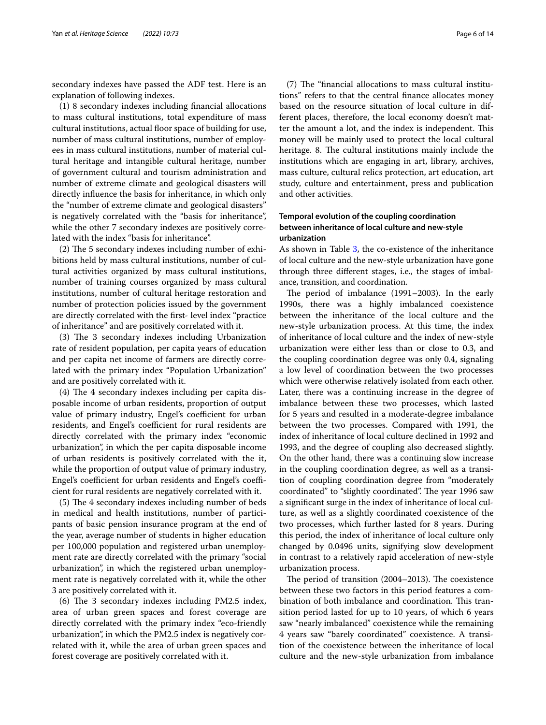secondary indexes have passed the ADF test. Here is an explanation of following indexes.

(1) 8 secondary indexes including fnancial allocations to mass cultural institutions, total expenditure of mass cultural institutions, actual floor space of building for use, number of mass cultural institutions, number of employees in mass cultural institutions, number of material cultural heritage and intangible cultural heritage, number of government cultural and tourism administration and number of extreme climate and geological disasters will directly infuence the basis for inheritance, in which only the "number of extreme climate and geological disasters" is negatively correlated with the "basis for inheritance", while the other 7 secondary indexes are positively correlated with the index "basis for inheritance".

 $(2)$  The 5 secondary indexes including number of exhibitions held by mass cultural institutions, number of cultural activities organized by mass cultural institutions, number of training courses organized by mass cultural institutions, number of cultural heritage restoration and number of protection policies issued by the government are directly correlated with the frst- level index "practice of inheritance" and are positively correlated with it.

 $(3)$  The 3 secondary indexes including Urbanization rate of resident population, per capita years of education and per capita net income of farmers are directly correlated with the primary index "Population Urbanization" and are positively correlated with it.

 $(4)$  The 4 secondary indexes including per capita disposable income of urban residents, proportion of output value of primary industry, Engel's coefficient for urban residents, and Engel's coefficient for rural residents are directly correlated with the primary index "economic urbanization", in which the per capita disposable income of urban residents is positively correlated with the it, while the proportion of output value of primary industry, Engel's coefficient for urban residents and Engel's coefficient for rural residents are negatively correlated with it.

(5) The 4 secondary indexes including number of beds in medical and health institutions, number of participants of basic pension insurance program at the end of the year, average number of students in higher education per 100,000 population and registered urban unemployment rate are directly correlated with the primary "social urbanization", in which the registered urban unemployment rate is negatively correlated with it, while the other 3 are positively correlated with it.

 $(6)$  The 3 secondary indexes including PM2.5 index, area of urban green spaces and forest coverage are directly correlated with the primary index "eco-friendly urbanization", in which the PM2.5 index is negatively correlated with it, while the area of urban green spaces and forest coverage are positively correlated with it.

 $(7)$  The "financial allocations to mass cultural institutions" refers to that the central fnance allocates money based on the resource situation of local culture in different places, therefore, the local economy doesn't matter the amount a lot, and the index is independent. This money will be mainly used to protect the local cultural heritage. 8. The cultural institutions mainly include the institutions which are engaging in art, library, archives, mass culture, cultural relics protection, art education, art study, culture and entertainment, press and publication and other activities.

# **Temporal evolution of the coupling coordination between inheritance of local culture and new‑style urbanization**

As shown in Table [3,](#page-6-0) the co-existence of the inheritance of local culture and the new-style urbanization have gone through three diferent stages, i.e., the stages of imbalance, transition, and coordination.

The period of imbalance  $(1991-2003)$ . In the early 1990s, there was a highly imbalanced coexistence between the inheritance of the local culture and the new-style urbanization process. At this time, the index of inheritance of local culture and the index of new-style urbanization were either less than or close to 0.3, and the coupling coordination degree was only 0.4, signaling a low level of coordination between the two processes which were otherwise relatively isolated from each other. Later, there was a continuing increase in the degree of imbalance between these two processes, which lasted for 5 years and resulted in a moderate-degree imbalance between the two processes. Compared with 1991, the index of inheritance of local culture declined in 1992 and 1993, and the degree of coupling also decreased slightly. On the other hand, there was a continuing slow increase in the coupling coordination degree, as well as a transition of coupling coordination degree from "moderately coordinated" to "slightly coordinated". The year 1996 saw a signifcant surge in the index of inheritance of local culture, as well as a slightly coordinated coexistence of the two processes, which further lasted for 8 years. During this period, the index of inheritance of local culture only changed by 0.0496 units, signifying slow development in contrast to a relatively rapid acceleration of new-style urbanization process.

The period of transition (2004–2013). The coexistence between these two factors in this period features a combination of both imbalance and coordination. This transition period lasted for up to 10 years, of which 6 years saw "nearly imbalanced" coexistence while the remaining 4 years saw "barely coordinated" coexistence. A transition of the coexistence between the inheritance of local culture and the new-style urbanization from imbalance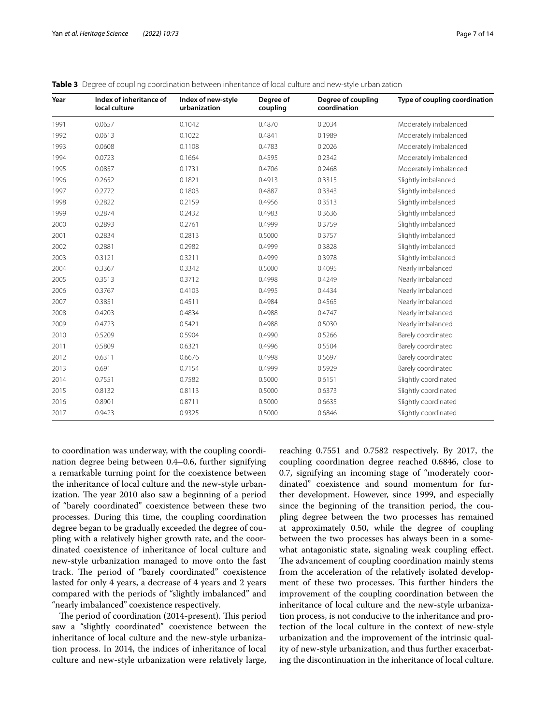| Year | Index of inheritance of<br>local culture | Index of new-style<br>urbanization | Degree of<br>coupling | Degree of coupling<br>coordination | Type of coupling coordination |
|------|------------------------------------------|------------------------------------|-----------------------|------------------------------------|-------------------------------|
| 1991 | 0.0657                                   | 0.1042                             | 0.4870                | 0.2034                             | Moderately imbalanced         |
| 1992 | 0.0613                                   | 0.1022                             | 0.4841                | 0.1989                             | Moderately imbalanced         |
| 1993 | 0.0608                                   | 0.1108                             | 0.4783                | 0.2026                             | Moderately imbalanced         |
| 1994 | 0.0723                                   | 0.1664                             | 0.4595                | 0.2342                             | Moderately imbalanced         |
| 1995 | 0.0857                                   | 0.1731                             | 0.4706                | 0.2468                             | Moderately imbalanced         |
| 1996 | 0.2652                                   | 0.1821                             | 0.4913                | 0.3315                             | Slightly imbalanced           |
| 1997 | 0.2772                                   | 0.1803                             | 0.4887                | 0.3343                             | Slightly imbalanced           |
| 1998 | 0.2822                                   | 0.2159                             | 0.4956                | 0.3513                             | Slightly imbalanced           |
| 1999 | 0.2874                                   | 0.2432                             | 0.4983                | 0.3636                             | Slightly imbalanced           |
| 2000 | 0.2893                                   | 0.2761                             | 0.4999                | 0.3759                             | Slightly imbalanced           |
| 2001 | 0.2834                                   | 0.2813                             | 0.5000                | 0.3757                             | Slightly imbalanced           |
| 2002 | 0.2881                                   | 0.2982                             | 0.4999                | 0.3828                             | Slightly imbalanced           |
| 2003 | 0.3121                                   | 0.3211                             | 0.4999                | 0.3978                             | Slightly imbalanced           |
| 2004 | 0.3367                                   | 0.3342                             | 0.5000                | 0.4095                             | Nearly imbalanced             |
| 2005 | 0.3513                                   | 0.3712                             | 0.4998                | 0.4249                             | Nearly imbalanced             |
| 2006 | 0.3767                                   | 0.4103                             | 0.4995                | 0.4434                             | Nearly imbalanced             |
| 2007 | 0.3851                                   | 0.4511                             | 0.4984                | 0.4565                             | Nearly imbalanced             |
| 2008 | 0.4203                                   | 0.4834                             | 0.4988                | 0.4747                             | Nearly imbalanced             |
| 2009 | 0.4723                                   | 0.5421                             | 0.4988                | 0.5030                             | Nearly imbalanced             |
| 2010 | 0.5209                                   | 0.5904                             | 0.4990                | 0.5266                             | Barely coordinated            |
| 2011 | 0.5809                                   | 0.6321                             | 0.4996                | 0.5504                             | Barely coordinated            |
| 2012 | 0.6311                                   | 0.6676                             | 0.4998                | 0.5697                             | Barely coordinated            |
| 2013 | 0.691                                    | 0.7154                             | 0.4999                | 0.5929                             | Barely coordinated            |
| 2014 | 0.7551                                   | 0.7582                             | 0.5000                | 0.6151                             | Slightly coordinated          |
| 2015 | 0.8132                                   | 0.8113                             | 0.5000                | 0.6373                             | Slightly coordinated          |
| 2016 | 0.8901                                   | 0.8711                             | 0.5000                | 0.6635                             | Slightly coordinated          |
| 2017 | 0.9423                                   | 0.9325                             | 0.5000                | 0.6846                             | Slightly coordinated          |

<span id="page-6-0"></span>**Table 3** Degree of coupling coordination between inheritance of local culture and new-style urbanization

to coordination was underway, with the coupling coordination degree being between 0.4–0.6, further signifying a remarkable turning point for the coexistence between the inheritance of local culture and the new-style urbanization. The year 2010 also saw a beginning of a period of "barely coordinated" coexistence between these two processes. During this time, the coupling coordination degree began to be gradually exceeded the degree of coupling with a relatively higher growth rate, and the coordinated coexistence of inheritance of local culture and new-style urbanization managed to move onto the fast track. The period of "barely coordinated" coexistence lasted for only 4 years, a decrease of 4 years and 2 years compared with the periods of "slightly imbalanced" and "nearly imbalanced" coexistence respectively.

The period of coordination (2014-present). This period saw a "slightly coordinated" coexistence between the inheritance of local culture and the new-style urbanization process. In 2014, the indices of inheritance of local culture and new-style urbanization were relatively large, reaching 0.7551 and 0.7582 respectively. By 2017, the coupling coordination degree reached 0.6846, close to 0.7, signifying an incoming stage of "moderately coordinated" coexistence and sound momentum for further development. However, since 1999, and especially since the beginning of the transition period, the coupling degree between the two processes has remained at approximately 0.50, while the degree of coupling between the two processes has always been in a somewhat antagonistic state, signaling weak coupling efect. The advancement of coupling coordination mainly stems from the acceleration of the relatively isolated development of these two processes. This further hinders the improvement of the coupling coordination between the inheritance of local culture and the new-style urbanization process, is not conducive to the inheritance and protection of the local culture in the context of new-style urbanization and the improvement of the intrinsic quality of new-style urbanization, and thus further exacerbating the discontinuation in the inheritance of local culture.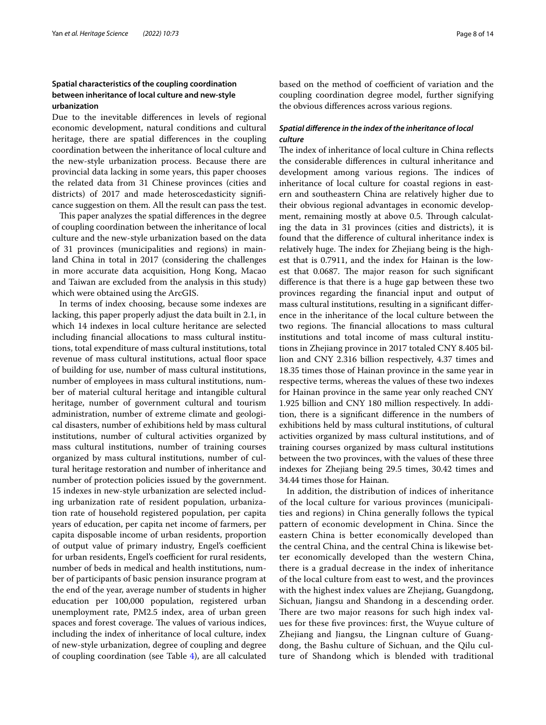# **Spatial characteristics of the coupling coordination between inheritance of local culture and new‑style urbanization**

Due to the inevitable diferences in levels of regional economic development, natural conditions and cultural heritage, there are spatial diferences in the coupling coordination between the inheritance of local culture and the new-style urbanization process. Because there are provincial data lacking in some years, this paper chooses the related data from 31 Chinese provinces (cities and districts) of 2017 and made heteroscedasticity signifcance suggestion on them. All the result can pass the test.

This paper analyzes the spatial differences in the degree of coupling coordination between the inheritance of local culture and the new-style urbanization based on the data of 31 provinces (municipalities and regions) in mainland China in total in 2017 (considering the challenges in more accurate data acquisition, Hong Kong, Macao and Taiwan are excluded from the analysis in this study) which were obtained using the ArcGIS.

In terms of index choosing, because some indexes are lacking, this paper properly adjust the data built in 2.1, in which 14 indexes in local culture heritance are selected including fnancial allocations to mass cultural institutions, total expenditure of mass cultural institutions, total revenue of mass cultural institutions, actual floor space of building for use, number of mass cultural institutions, number of employees in mass cultural institutions, number of material cultural heritage and intangible cultural heritage, number of government cultural and tourism administration, number of extreme climate and geological disasters, number of exhibitions held by mass cultural institutions, number of cultural activities organized by mass cultural institutions, number of training courses organized by mass cultural institutions, number of cultural heritage restoration and number of inheritance and number of protection policies issued by the government. 15 indexes in new-style urbanization are selected including urbanization rate of resident population, urbanization rate of household registered population, per capita years of education, per capita net income of farmers, per capita disposable income of urban residents, proportion of output value of primary industry, Engel's coefficient for urban residents, Engel's coefficient for rural residents, number of beds in medical and health institutions, number of participants of basic pension insurance program at the end of the year, average number of students in higher education per 100,000 population, registered urban unemployment rate, PM2.5 index, area of urban green spaces and forest coverage. The values of various indices, including the index of inheritance of local culture, index of new-style urbanization, degree of coupling and degree of coupling coordination (see Table [4](#page-8-0)), are all calculated based on the method of coefficient of variation and the coupling coordination degree model, further signifying the obvious diferences across various regions.

# *Spatial diference in the index of the inheritance of local culture*

The index of inheritance of local culture in China reflects the considerable diferences in cultural inheritance and development among various regions. The indices of inheritance of local culture for coastal regions in eastern and southeastern China are relatively higher due to their obvious regional advantages in economic development, remaining mostly at above 0.5. Through calculating the data in 31 provinces (cities and districts), it is found that the diference of cultural inheritance index is relatively huge. The index for Zhejiang being is the highest that is 0.7911, and the index for Hainan is the lowest that 0.0687. The major reason for such significant diference is that there is a huge gap between these two provinces regarding the fnancial input and output of mass cultural institutions, resulting in a signifcant diference in the inheritance of the local culture between the two regions. The financial allocations to mass cultural institutions and total income of mass cultural institutions in Zhejiang province in 2017 totaled CNY 8.405 billion and CNY 2.316 billion respectively, 4.37 times and 18.35 times those of Hainan province in the same year in respective terms, whereas the values of these two indexes for Hainan province in the same year only reached CNY 1.925 billion and CNY 180 million respectively. In addition, there is a signifcant diference in the numbers of exhibitions held by mass cultural institutions, of cultural activities organized by mass cultural institutions, and of training courses organized by mass cultural institutions between the two provinces, with the values of these three indexes for Zhejiang being 29.5 times, 30.42 times and 34.44 times those for Hainan.

In addition, the distribution of indices of inheritance of the local culture for various provinces (municipalities and regions) in China generally follows the typical pattern of economic development in China. Since the eastern China is better economically developed than the central China, and the central China is likewise better economically developed than the western China, there is a gradual decrease in the index of inheritance of the local culture from east to west, and the provinces with the highest index values are Zhejiang, Guangdong, Sichuan, Jiangsu and Shandong in a descending order. There are two major reasons for such high index values for these fve provinces: frst, the Wuyue culture of Zhejiang and Jiangsu, the Lingnan culture of Guangdong, the Bashu culture of Sichuan, and the Qilu culture of Shandong which is blended with traditional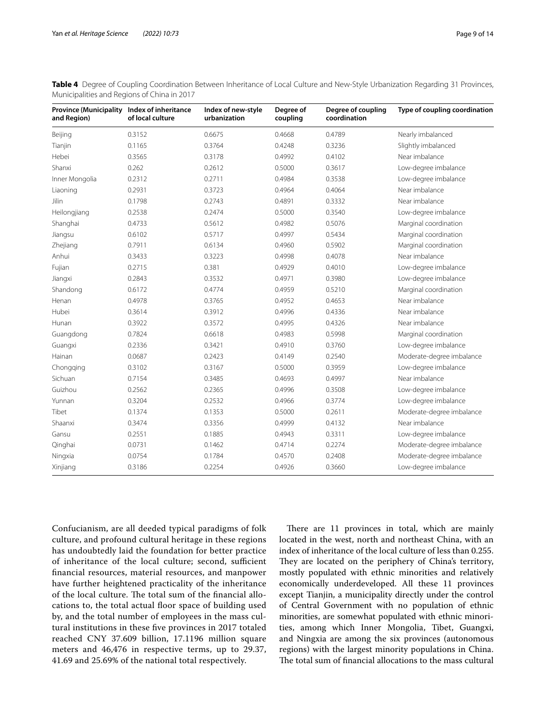<span id="page-8-0"></span>**Table 4** Degree of Coupling Coordination Between Inheritance of Local Culture and New-Style Urbanization Regarding 31 Provinces, Municipalities and Regions of China in 2017

| Province (Municipality Index of inheritance<br>and Region) | of local culture | Index of new-style<br>urbanization | Degree of<br>coupling | Degree of coupling<br>coordination | Type of coupling coordination |
|------------------------------------------------------------|------------------|------------------------------------|-----------------------|------------------------------------|-------------------------------|
| Beijing                                                    | 0.3152           | 0.6675                             | 0.4668                | 0.4789                             | Nearly imbalanced             |
| Tianjin                                                    | 0.1165           | 0.3764                             | 0.4248                | 0.3236                             | Slightly imbalanced           |
| Hebei                                                      | 0.3565           | 0.3178                             | 0.4992                | 0.4102                             | Near imbalance                |
| Shanxi                                                     | 0.262            | 0.2612                             | 0.5000                | 0.3617                             | Low-degree imbalance          |
| Inner Mongolia                                             | 0.2312           | 0.2711                             | 0.4984                | 0.3538                             | Low-degree imbalance          |
| Liaoning                                                   | 0.2931           | 0.3723                             | 0.4964                | 0.4064                             | Near imbalance                |
| Jilin                                                      | 0.1798           | 0.2743                             | 0.4891                | 0.3332                             | Near imbalance                |
| Heilongjiang                                               | 0.2538           | 0.2474                             | 0.5000                | 0.3540                             | Low-degree imbalance          |
| Shanghai                                                   | 0.4733           | 0.5612                             | 0.4982                | 0.5076                             | Marginal coordination         |
| Jiangsu                                                    | 0.6102           | 0.5717                             | 0.4997                | 0.5434                             | Marginal coordination         |
| Zhejiang                                                   | 0.7911           | 0.6134                             | 0.4960                | 0.5902                             | Marginal coordination         |
| Anhui                                                      | 0.3433           | 0.3223                             | 0.4998                | 0.4078                             | Near imbalance                |
| Fujian                                                     | 0.2715           | 0.381                              | 0.4929                | 0.4010                             | Low-degree imbalance          |
| Jiangxi                                                    | 0.2843           | 0.3532                             | 0.4971                | 0.3980                             | Low-degree imbalance          |
| Shandong                                                   | 0.6172           | 0.4774                             | 0.4959                | 0.5210                             | Marginal coordination         |
| Henan                                                      | 0.4978           | 0.3765                             | 0.4952                | 0.4653                             | Near imbalance                |
| Hubei                                                      | 0.3614           | 0.3912                             | 0.4996                | 0.4336                             | Near imbalance                |
| Hunan                                                      | 0.3922           | 0.3572                             | 0.4995                | 0.4326                             | Near imbalance                |
| Guangdong                                                  | 0.7824           | 0.6618                             | 0.4983                | 0.5998                             | Marginal coordination         |
| Guangxi                                                    | 0.2336           | 0.3421                             | 0.4910                | 0.3760                             | Low-degree imbalance          |
| Hainan                                                     | 0.0687           | 0.2423                             | 0.4149                | 0.2540                             | Moderate-degree imbalance     |
| Chongging                                                  | 0.3102           | 0.3167                             | 0.5000                | 0.3959                             | Low-degree imbalance          |
| Sichuan                                                    | 0.7154           | 0.3485                             | 0.4693                | 0.4997                             | Near imbalance                |
| Guizhou                                                    | 0.2562           | 0.2365                             | 0.4996                | 0.3508                             | Low-degree imbalance          |
| Yunnan                                                     | 0.3204           | 0.2532                             | 0.4966                | 0.3774                             | Low-degree imbalance          |
| Tibet                                                      | 0.1374           | 0.1353                             | 0.5000                | 0.2611                             | Moderate-degree imbalance     |
| Shaanxi                                                    | 0.3474           | 0.3356                             | 0.4999                | 0.4132                             | Near imbalance                |
| Gansu                                                      | 0.2551           | 0.1885                             | 0.4943                | 0.3311                             | Low-degree imbalance          |
| Qinghai                                                    | 0.0731           | 0.1462                             | 0.4714                | 0.2274                             | Moderate-degree imbalance     |
| Ningxia                                                    | 0.0754           | 0.1784                             | 0.4570                | 0.2408                             | Moderate-degree imbalance     |
| Xinjiang                                                   | 0.3186           | 0.2254                             | 0.4926                | 0.3660                             | Low-degree imbalance          |

Confucianism, are all deeded typical paradigms of folk culture, and profound cultural heritage in these regions has undoubtedly laid the foundation for better practice of inheritance of the local culture; second, sufficient fnancial resources, material resources, and manpower have further heightened practicality of the inheritance of the local culture. The total sum of the financial allocations to, the total actual foor space of building used by, and the total number of employees in the mass cultural institutions in these fve provinces in 2017 totaled reached CNY 37.609 billion, 17.1196 million square meters and 46,476 in respective terms, up to 29.37, 41.69 and 25.69% of the national total respectively.

There are 11 provinces in total, which are mainly located in the west, north and northeast China, with an index of inheritance of the local culture of less than 0.255. They are located on the periphery of China's territory, mostly populated with ethnic minorities and relatively economically underdeveloped. All these 11 provinces except Tianjin, a municipality directly under the control of Central Government with no population of ethnic minorities, are somewhat populated with ethnic minorities, among which Inner Mongolia, Tibet, Guangxi, and Ningxia are among the six provinces (autonomous regions) with the largest minority populations in China. The total sum of financial allocations to the mass cultural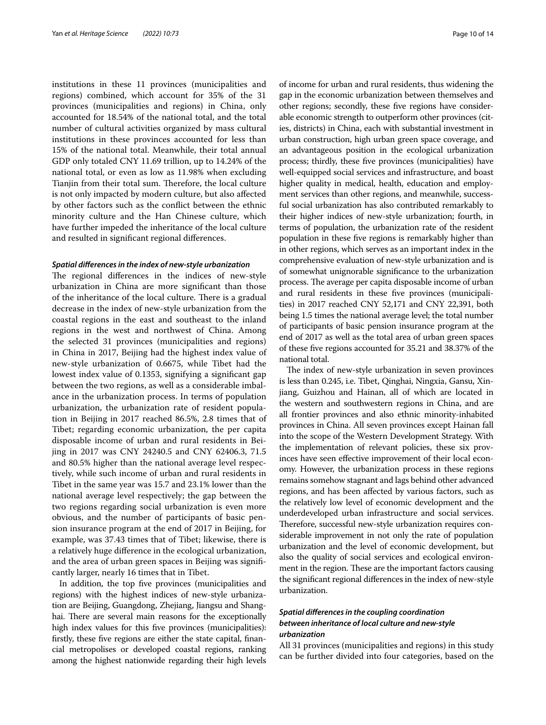institutions in these 11 provinces (municipalities and regions) combined, which account for 35% of the 31 provinces (municipalities and regions) in China, only accounted for 18.54% of the national total, and the total number of cultural activities organized by mass cultural institutions in these provinces accounted for less than 15% of the national total. Meanwhile, their total annual GDP only totaled CNY 11.69 trillion, up to 14.24% of the national total, or even as low as 11.98% when excluding Tianjin from their total sum. Therefore, the local culture is not only impacted by modern culture, but also afected by other factors such as the confict between the ethnic minority culture and the Han Chinese culture, which have further impeded the inheritance of the local culture and resulted in signifcant regional diferences.

#### *Spatial diferences in the index of new‑style urbanization*

The regional differences in the indices of new-style urbanization in China are more signifcant than those of the inheritance of the local culture. There is a gradual decrease in the index of new-style urbanization from the coastal regions in the east and southeast to the inland regions in the west and northwest of China. Among the selected 31 provinces (municipalities and regions) in China in 2017, Beijing had the highest index value of new-style urbanization of 0.6675, while Tibet had the lowest index value of 0.1353, signifying a signifcant gap between the two regions, as well as a considerable imbalance in the urbanization process. In terms of population urbanization, the urbanization rate of resident population in Beijing in 2017 reached 86.5%, 2.8 times that of Tibet; regarding economic urbanization, the per capita disposable income of urban and rural residents in Beijing in 2017 was CNY 24240.5 and CNY 62406.3, 71.5 and 80.5% higher than the national average level respectively, while such income of urban and rural residents in Tibet in the same year was 15.7 and 23.1% lower than the national average level respectively; the gap between the two regions regarding social urbanization is even more obvious, and the number of participants of basic pension insurance program at the end of 2017 in Beijing, for example, was 37.43 times that of Tibet; likewise, there is a relatively huge diference in the ecological urbanization, and the area of urban green spaces in Beijing was signifcantly larger, nearly 16 times that in Tibet.

In addition, the top fve provinces (municipalities and regions) with the highest indices of new-style urbanization are Beijing, Guangdong, Zhejiang, Jiangsu and Shanghai. There are several main reasons for the exceptionally high index values for this five provinces (municipalities): frstly, these fve regions are either the state capital, fnancial metropolises or developed coastal regions, ranking among the highest nationwide regarding their high levels

of income for urban and rural residents, thus widening the gap in the economic urbanization between themselves and other regions; secondly, these fve regions have considerable economic strength to outperform other provinces (cities, districts) in China, each with substantial investment in urban construction, high urban green space coverage, and an advantageous position in the ecological urbanization process; thirdly, these fve provinces (municipalities) have well-equipped social services and infrastructure, and boast higher quality in medical, health, education and employment services than other regions, and meanwhile, successful social urbanization has also contributed remarkably to their higher indices of new-style urbanization; fourth, in terms of population, the urbanization rate of the resident population in these fve regions is remarkably higher than in other regions, which serves as an important index in the comprehensive evaluation of new-style urbanization and is of somewhat unignorable signifcance to the urbanization process. The average per capita disposable income of urban and rural residents in these fve provinces (municipalities) in 2017 reached CNY 52,171 and CNY 22,391, both being 1.5 times the national average level; the total number of participants of basic pension insurance program at the end of 2017 as well as the total area of urban green spaces of these fve regions accounted for 35.21 and 38.37% of the national total.

The index of new-style urbanization in seven provinces is less than 0.245, i.e. Tibet, Qinghai, Ningxia, Gansu, Xinjiang, Guizhou and Hainan, all of which are located in the western and southwestern regions in China, and are all frontier provinces and also ethnic minority-inhabited provinces in China. All seven provinces except Hainan fall into the scope of the Western Development Strategy. With the implementation of relevant policies, these six provinces have seen efective improvement of their local economy. However, the urbanization process in these regions remains somehow stagnant and lags behind other advanced regions, and has been afected by various factors, such as the relatively low level of economic development and the underdeveloped urban infrastructure and social services. Therefore, successful new-style urbanization requires considerable improvement in not only the rate of population urbanization and the level of economic development, but also the quality of social services and ecological environment in the region. These are the important factors causing the signifcant regional diferences in the index of new-style urbanization.

# *Spatial diferences in the coupling coordination between inheritance of local culture and new‑style urbanization*

All 31 provinces (municipalities and regions) in this study can be further divided into four categories, based on the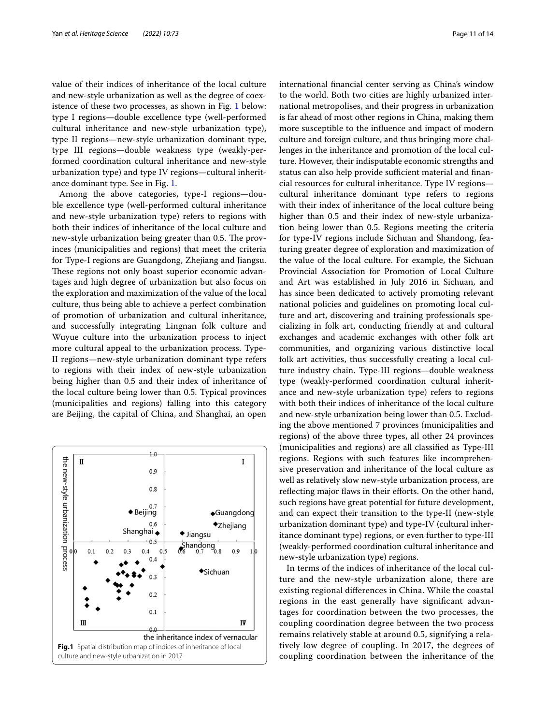value of their indices of inheritance of the local culture and new-style urbanization as well as the degree of coexistence of these two processes, as shown in Fig. [1](#page-10-0) below: type I regions—double excellence type (well-performed cultural inheritance and new-style urbanization type), type II regions—new-style urbanization dominant type, type III regions—double weakness type (weakly-performed coordination cultural inheritance and new-style urbanization type) and type IV regions—cultural inheritance dominant type. See in Fig. [1](#page-10-0).

Among the above categories, type-I regions—double excellence type (well-performed cultural inheritance and new-style urbanization type) refers to regions with both their indices of inheritance of the local culture and new-style urbanization being greater than 0.5. The provinces (municipalities and regions) that meet the criteria for Type-I regions are Guangdong, Zhejiang and Jiangsu. These regions not only boast superior economic advantages and high degree of urbanization but also focus on the exploration and maximization of the value of the local culture, thus being able to achieve a perfect combination of promotion of urbanization and cultural inheritance, and successfully integrating Lingnan folk culture and Wuyue culture into the urbanization process to inject more cultural appeal to the urbanization process. Type-II regions—new-style urbanization dominant type refers to regions with their index of new-style urbanization being higher than 0.5 and their index of inheritance of the local culture being lower than 0.5. Typical provinces (municipalities and regions) falling into this category are Beijing, the capital of China, and Shanghai, an open

<span id="page-10-0"></span>

international fnancial center serving as China's window to the world. Both two cities are highly urbanized international metropolises, and their progress in urbanization is far ahead of most other regions in China, making them more susceptible to the infuence and impact of modern culture and foreign culture, and thus bringing more challenges in the inheritance and promotion of the local culture. However, their indisputable economic strengths and status can also help provide sufficient material and financial resources for cultural inheritance. Type IV regions cultural inheritance dominant type refers to regions with their index of inheritance of the local culture being higher than 0.5 and their index of new-style urbanization being lower than 0.5. Regions meeting the criteria for type-IV regions include Sichuan and Shandong, featuring greater degree of exploration and maximization of the value of the local culture. For example, the Sichuan Provincial Association for Promotion of Local Culture and Art was established in July 2016 in Sichuan, and has since been dedicated to actively promoting relevant national policies and guidelines on promoting local culture and art, discovering and training professionals specializing in folk art, conducting friendly at and cultural exchanges and academic exchanges with other folk art communities, and organizing various distinctive local folk art activities, thus successfully creating a local culture industry chain. Type-III regions—double weakness type (weakly-performed coordination cultural inheritance and new-style urbanization type) refers to regions with both their indices of inheritance of the local culture and new-style urbanization being lower than 0.5. Excluding the above mentioned 7 provinces (municipalities and regions) of the above three types, all other 24 provinces (municipalities and regions) are all classifed as Type-III regions. Regions with such features like incomprehensive preservation and inheritance of the local culture as well as relatively slow new-style urbanization process, are reflecting major flaws in their efforts. On the other hand, such regions have great potential for future development, and can expect their transition to the type-II (new-style urbanization dominant type) and type-IV (cultural inheritance dominant type) regions, or even further to type-III (weakly-performed coordination cultural inheritance and new-style urbanization type) regions.

In terms of the indices of inheritance of the local culture and the new-style urbanization alone, there are existing regional diferences in China. While the coastal regions in the east generally have signifcant advantages for coordination between the two processes, the coupling coordination degree between the two process remains relatively stable at around 0.5, signifying a relatively low degree of coupling. In 2017, the degrees of coupling coordination between the inheritance of the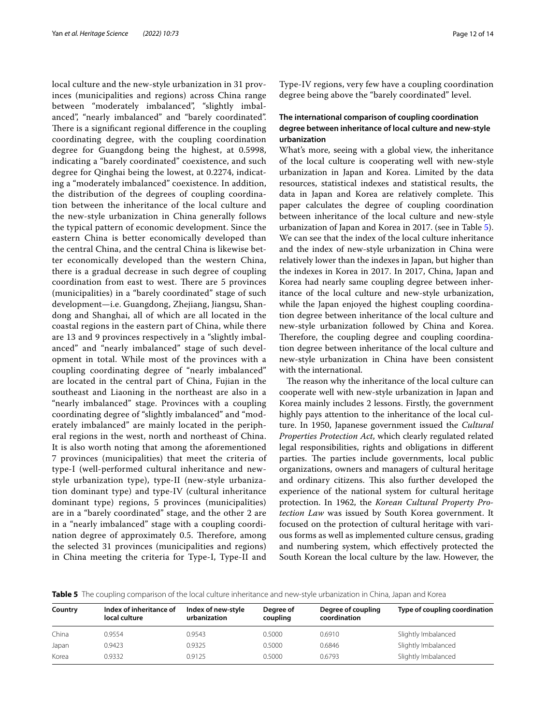local culture and the new-style urbanization in 31 provinces (municipalities and regions) across China range between "moderately imbalanced", "slightly imbalanced", "nearly imbalanced" and "barely coordinated". There is a significant regional difference in the coupling coordinating degree, with the coupling coordination degree for Guangdong being the highest, at 0.5998, indicating a "barely coordinated" coexistence, and such degree for Qinghai being the lowest, at 0.2274, indicating a "moderately imbalanced" coexistence. In addition, the distribution of the degrees of coupling coordination between the inheritance of the local culture and the new-style urbanization in China generally follows the typical pattern of economic development. Since the eastern China is better economically developed than the central China, and the central China is likewise better economically developed than the western China, there is a gradual decrease in such degree of coupling coordination from east to west. There are 5 provinces (municipalities) in a "barely coordinated" stage of such development—i.e. Guangdong, Zhejiang, Jiangsu, Shandong and Shanghai, all of which are all located in the coastal regions in the eastern part of China, while there are 13 and 9 provinces respectively in a "slightly imbalanced" and "nearly imbalanced" stage of such development in total. While most of the provinces with a coupling coordinating degree of "nearly imbalanced" are located in the central part of China, Fujian in the southeast and Liaoning in the northeast are also in a "nearly imbalanced" stage. Provinces with a coupling coordinating degree of "slightly imbalanced" and "moderately imbalanced" are mainly located in the peripheral regions in the west, north and northeast of China. It is also worth noting that among the aforementioned 7 provinces (municipalities) that meet the criteria of type-I (well-performed cultural inheritance and newstyle urbanization type), type-II (new-style urbanization dominant type) and type-IV (cultural inheritance dominant type) regions, 5 provinces (municipalities) are in a "barely coordinated" stage, and the other 2 are in a "nearly imbalanced" stage with a coupling coordination degree of approximately 0.5. Therefore, among the selected 31 provinces (municipalities and regions) in China meeting the criteria for Type-I, Type-II and Type-IV regions, very few have a coupling coordination degree being above the "barely coordinated" level.

# **The international comparison of coupling coordination degree between inheritance of local culture and new‑style urbanization**

What's more, seeing with a global view, the inheritance of the local culture is cooperating well with new-style urbanization in Japan and Korea. Limited by the data resources, statistical indexes and statistical results, the data in Japan and Korea are relatively complete. This paper calculates the degree of coupling coordination between inheritance of the local culture and new-style urbanization of Japan and Korea in 2017. (see in Table [5](#page-11-0)). We can see that the index of the local culture inheritance and the index of new-style urbanization in China were relatively lower than the indexes in Japan, but higher than the indexes in Korea in 2017. In 2017, China, Japan and Korea had nearly same coupling degree between inheritance of the local culture and new-style urbanization, while the Japan enjoyed the highest coupling coordination degree between inheritance of the local culture and new-style urbanization followed by China and Korea. Therefore, the coupling degree and coupling coordination degree between inheritance of the local culture and new-style urbanization in China have been consistent with the international.

The reason why the inheritance of the local culture can cooperate well with new-style urbanization in Japan and Korea mainly includes 2 lessons. Firstly, the government highly pays attention to the inheritance of the local culture. In 1950, Japanese government issued the *Cultural Properties Protection Act*, which clearly regulated related legal responsibilities, rights and obligations in diferent parties. The parties include governments, local public organizations, owners and managers of cultural heritage and ordinary citizens. This also further developed the experience of the national system for cultural heritage protection. In 1962, the *Korean Cultural Property Protection Law* was issued by South Korea government. It focused on the protection of cultural heritage with various forms as well as implemented culture census, grading and numbering system, which efectively protected the South Korean the local culture by the law. However, the

<span id="page-11-0"></span>**Table 5** The coupling comparison of the local culture inheritance and new-style urbanization in China, Japan and Korea

| Country | Index of inheritance of<br>local culture | Index of new-style<br>urbanization | Degree of<br>coupling | Degree of coupling<br>coordination | Type of coupling coordination |
|---------|------------------------------------------|------------------------------------|-----------------------|------------------------------------|-------------------------------|
| China   | 0.9554                                   | 0.9543                             | 0.5000                | 0.6910                             | Slightly Imbalanced           |
| Japan   | 0.9423                                   | 0.9325                             | 0.5000                | 0.6846                             | Slightly Imbalanced           |
| Korea   | 0.9332                                   | 0.9125                             | 0.5000                | 0.6793                             | Slightly Imbalanced           |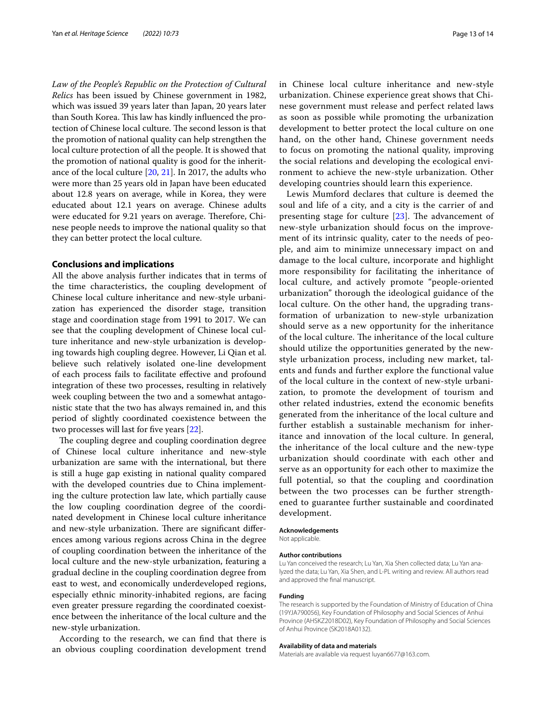*Law of the People's Republic on the Protection of Cultural Relics* has been issued by Chinese government in 1982, which was issued 39 years later than Japan, 20 years later than South Korea. This law has kindly influenced the protection of Chinese local culture. The second lesson is that the promotion of national quality can help strengthen the local culture protection of all the people. It is showed that the promotion of national quality is good for the inheritance of the local culture [\[20](#page-13-18), [21\]](#page-13-19). In 2017, the adults who were more than 25 years old in Japan have been educated about 12.8 years on average, while in Korea, they were educated about 12.1 years on average. Chinese adults were educated for 9.21 years on average. Therefore, Chinese people needs to improve the national quality so that they can better protect the local culture.

## **Conclusions and implications**

All the above analysis further indicates that in terms of the time characteristics, the coupling development of Chinese local culture inheritance and new-style urbanization has experienced the disorder stage, transition stage and coordination stage from 1991 to 2017. We can see that the coupling development of Chinese local culture inheritance and new-style urbanization is developing towards high coupling degree. However, Li Qian et al. believe such relatively isolated one-line development of each process fails to facilitate efective and profound integration of these two processes, resulting in relatively week coupling between the two and a somewhat antagonistic state that the two has always remained in, and this period of slightly coordinated coexistence between the two processes will last for five years [[22\]](#page-13-20).

The coupling degree and coupling coordination degree of Chinese local culture inheritance and new-style urbanization are same with the international, but there is still a huge gap existing in national quality compared with the developed countries due to China implementing the culture protection law late, which partially cause the low coupling coordination degree of the coordinated development in Chinese local culture inheritance and new-style urbanization. There are significant differences among various regions across China in the degree of coupling coordination between the inheritance of the local culture and the new-style urbanization, featuring a gradual decline in the coupling coordination degree from east to west, and economically underdeveloped regions, especially ethnic minority-inhabited regions, are facing even greater pressure regarding the coordinated coexistence between the inheritance of the local culture and the new-style urbanization.

According to the research, we can fnd that there is an obvious coupling coordination development trend in Chinese local culture inheritance and new-style urbanization. Chinese experience great shows that Chinese government must release and perfect related laws as soon as possible while promoting the urbanization development to better protect the local culture on one hand, on the other hand, Chinese government needs to focus on promoting the national quality, improving the social relations and developing the ecological environment to achieve the new-style urbanization. Other developing countries should learn this experience.

Lewis Mumford declares that culture is deemed the soul and life of a city, and a city is the carrier of and presenting stage for culture  $[23]$ . The advancement of new-style urbanization should focus on the improvement of its intrinsic quality, cater to the needs of people, and aim to minimize unnecessary impact on and damage to the local culture, incorporate and highlight more responsibility for facilitating the inheritance of local culture, and actively promote "people-oriented urbanization" thorough the ideological guidance of the local culture. On the other hand, the upgrading transformation of urbanization to new-style urbanization should serve as a new opportunity for the inheritance of the local culture. The inheritance of the local culture should utilize the opportunities generated by the newstyle urbanization process, including new market, talents and funds and further explore the functional value of the local culture in the context of new-style urbanization, to promote the development of tourism and other related industries, extend the economic benefts generated from the inheritance of the local culture and further establish a sustainable mechanism for inheritance and innovation of the local culture. In general, the inheritance of the local culture and the new-type urbanization should coordinate with each other and serve as an opportunity for each other to maximize the full potential, so that the coupling and coordination between the two processes can be further strengthened to guarantee further sustainable and coordinated development.

# **Acknowledgements**

Not applicable.

#### **Author contributions**

Lu Yan conceived the research; Lu Yan, Xia Shen collected data; Lu Yan analyzed the data; Lu Yan, Xia Shen, and L-PL writing and review. All authors read and approved the fnal manuscript.

#### **Funding**

The research is supported by the Foundation of Ministry of Education of China (19YJA790056), Key Foundation of Philosophy and Social Sciences of Anhui Province (AHSKZ2018D02), Key Foundation of Philosophy and Social Sciences of Anhui Province (SK2018A0132).

#### **Availability of data and materials**

Materials are available via request luyan6677@163.com.